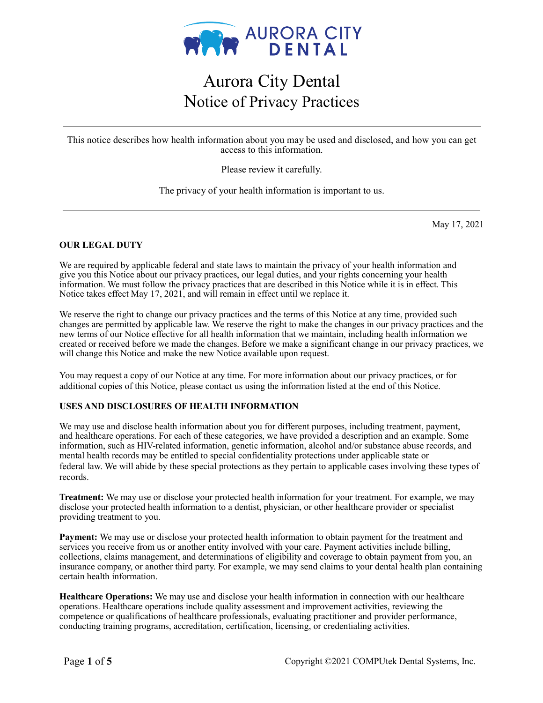

# Aurora City Dental Notice of Privacy Practices

This notice describes how health information about you may be used and disclosed, and how you can get access to this information.

Please review it carefully.

The privacy of your health information is important to us.

May 17, 2021

#### **OUR LEGAL DUTY**

We are required by applicable federal and state laws to maintain the privacy of your health information and give you this Notice about our privacy practices, our legal duties, and your rights concerning your health information. We must follow the privacy practices that are described in this Notice while it is in effect. This Notice takes effect May 17, 2021, and will remain in effect until we replace it.

We reserve the right to change our privacy practices and the terms of this Notice at any time, provided such changes are permitted by applicable law. We reserve the right to make the changes in our privacy practices and the new terms of our Notice effective for all health information that we maintain, including health information we created or received before we made the changes. Before we make a significant change in our privacy practices, we will change this Notice and make the new Notice available upon request.

You may request a copy of our Notice at any time. For more information about our privacy practices, or for additional copies of this Notice, please contact us using the information listed at the end of this Notice.

#### **USES AND DISCLOSURES OF HEALTH INFORMATION**

We may use and disclose health information about you for different purposes, including treatment, payment, and healthcare operations. For each of these categories, we have provided a description and an example. Some information, such as HIV-related information, genetic information, alcohol and/or substance abuse records, and mental health records may be entitled to special confidentiality protections under applicable state or federal law. We will abide by these special protections as they pertain to applicable cases involving these types of records.

**Treatment:** We may use or disclose your protected health information for your treatment. For example, we may disclose your protected health information to a dentist, physician, or other healthcare provider or specialist providing treatment to you.

**Payment:** We may use or disclose your protected health information to obtain payment for the treatment and services you receive from us or another entity involved with your care. Payment activities include billing, collections, claims management, and determinations of eligibility and coverage to obtain payment from you, an insurance company, or another third party. For example, we may send claims to your dental health plan containing certain health information.

**Healthcare Operations:** We may use and disclose your health information in connection with our healthcare operations. Healthcare operations include quality assessment and improvement activities, reviewing the competence or qualifications of healthcare professionals, evaluating practitioner and provider performance, conducting training programs, accreditation, certification, licensing, or credentialing activities.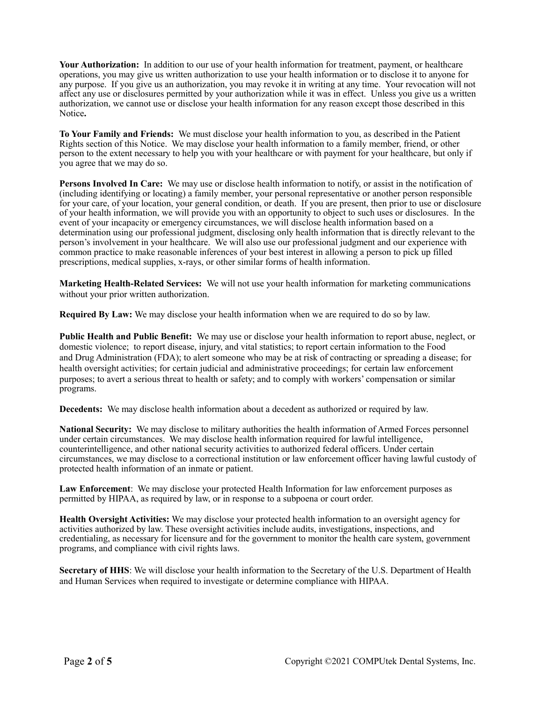Your Authorization: In addition to our use of your health information for treatment, payment, or healthcare operations, you may give us written authorization to use your health information or to disclose it to anyone for any purpose. If you give us an authorization, you may revoke it in writing at any time. Your revocation will not affect any use or disclosures permitted by your authorization while it was in effect. Unless you give us a written authorization, we cannot use or disclose your health information for any reason except those described in this Notice**.**

**To Your Family and Friends:** We must disclose your health information to you, as described in the Patient Rights section of this Notice. We may disclose your health information to a family member, friend, or other person to the extent necessary to help you with your healthcare or with payment for your healthcare, but only if you agree that we may do so.

**Persons Involved In Care:** We may use or disclose health information to notify, or assist in the notification of (including identifying or locating) a family member, your personal representative or another person responsible for your care, of your location, your general condition, or death. If you are present, then prior to use or disclosure of your health information, we will provide you with an opportunity to object to such uses or disclosures. In the event of your incapacity or emergency circumstances, we will disclose health information based on a determination using our professional judgment, disclosing only health information that is directly relevant to the person's involvement in your healthcare. We will also use our professional judgment and our experience with common practice to make reasonable inferences of your best interest in allowing a person to pick up filled prescriptions, medical supplies, x-rays, or other similar forms of health information.

**Marketing Health-Related Services:** We will not use your health information for marketing communications without your prior written authorization.

**Required By Law:** We may disclose your health information when we are required to do so by law.

**Public Health and Public Benefit:** We may use or disclose your health information to report abuse, neglect, or domestic violence; to report disease, injury, and vital statistics; to report certain information to the Food and Drug Administration (FDA); to alert someone who may be at risk of contracting or spreading a disease; for health oversight activities; for certain judicial and administrative proceedings; for certain law enforcement purposes; to avert a serious threat to health or safety; and to comply with workers' compensation or similar programs.

**Decedents:** We may disclose health information about a decedent as authorized or required by law.

**National Security:** We may disclose to military authorities the health information of Armed Forces personnel under certain circumstances. We may disclose health information required for lawful intelligence, counterintelligence, and other national security activities to authorized federal officers. Under certain circumstances, we may disclose to a correctional institution or law enforcement officer having lawful custody of protected health information of an inmate or patient.

**Law Enforcement**: We may disclose your protected Health Information for law enforcement purposes as permitted by HIPAA, as required by law, or in response to a subpoena or court order.

**Health Oversight Activities:** We may disclose your protected health information to an oversight agency for activities authorized by law. These oversight activities include audits, investigations, inspections, and credentialing, as necessary for licensure and for the government to monitor the health care system, government programs, and compliance with civil rights laws.

**Secretary of HHS**: We will disclose your health information to the Secretary of the U.S. Department of Health and Human Services when required to investigate or determine compliance with HIPAA.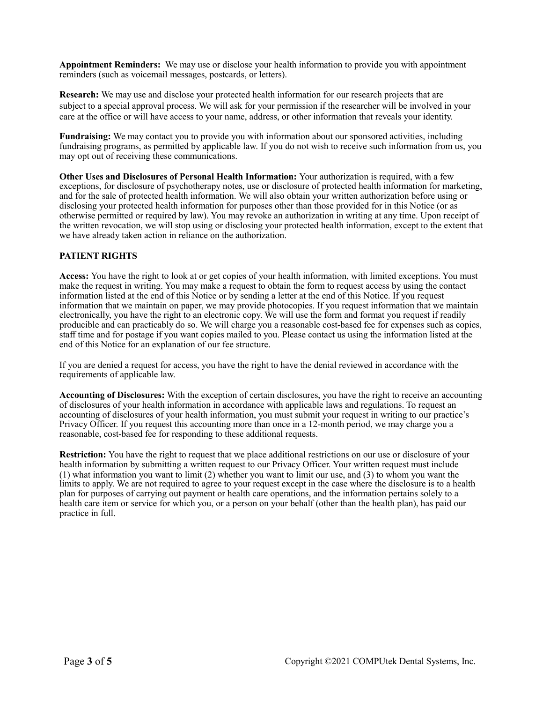**Appointment Reminders:** We may use or disclose your health information to provide you with appointment reminders (such as voicemail messages, postcards, or letters).

**Research:** We may use and disclose your protected health information for our research projects that are subject to a special approval process. We will ask for your permission if the researcher will be involved in your care at the office or will have access to your name, address, or other information that reveals your identity.

**Fundraising:** We may contact you to provide you with information about our sponsored activities, including fundraising programs, as permitted by applicable law. If you do not wish to receive such information from us, you may opt out of receiving these communications.

**Other Uses and Disclosures of Personal Health Information:** Your authorization is required, with a few exceptions, for disclosure of psychotherapy notes, use or disclosure of protected health information for marketing, and for the sale of protected health information. We will also obtain your written authorization before using or disclosing your protected health information for purposes other than those provided for in this Notice (or as otherwise permitted or required by law). You may revoke an authorization in writing at any time. Upon receipt of the written revocation, we will stop using or disclosing your protected health information, except to the extent that we have already taken action in reliance on the authorization.

#### **PATIENT RIGHTS**

**Access:** You have the right to look at or get copies of your health information, with limited exceptions. You must make the request in writing. You may make a request to obtain the form to request access by using the contact information listed at the end of this Notice or by sending a letter at the end of this Notice. If you request information that we maintain on paper, we may provide photocopies. If you request information that we maintain electronically, you have the right to an electronic copy. We will use the form and format you request if readily producible and can practicably do so. We will charge you a reasonable cost-based fee for expenses such as copies, staff time and for postage if you want copies mailed to you. Please contact us using the information listed at the end of this Notice for an explanation of our fee structure.

If you are denied a request for access, you have the right to have the denial reviewed in accordance with the requirements of applicable law.

**Accounting of Disclosures:** With the exception of certain disclosures, you have the right to receive an accounting of disclosures of your health information in accordance with applicable laws and regulations. To request an accounting of disclosures of your health information, you must submit your request in writing to our practice's Privacy Officer. If you request this accounting more than once in a 12-month period, we may charge you a reasonable, cost-based fee for responding to these additional requests.

**Restriction:** You have the right to request that we place additional restrictions on our use or disclosure of your health information by submitting a written request to our Privacy Officer. Your written request must include (1) what information you want to limit (2) whether you want to limit our use, and (3) to whom you want the limits to apply. We are not required to agree to your request except in the case where the disclosure is to a health plan for purposes of carrying out payment or health care operations, and the information pertains solely to a health care item or service for which you, or a person on your behalf (other than the health plan), has paid our practice in full.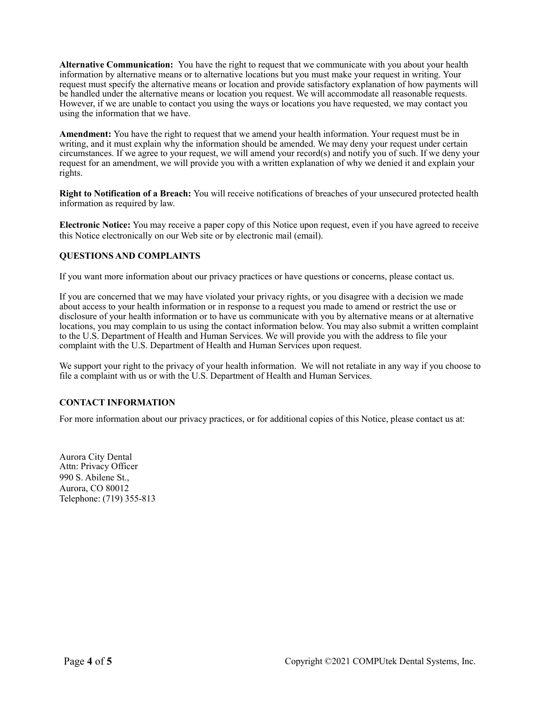**Alternative Communication:** You have the right to request that we communicate with you about your health information by alternative means or to alternative locations but you must make your request in writing. Your request must specify the alternative means or location and provide satisfactory explanation of how payments will be handled under the alternative means or location you request. We will accommodate all reasonable requests. However, if we are unable to contact you using the ways or locations you have requested, we may contact you using the information that we have.

**Amendment:** You have the right to request that we amend your health information. Your request must be in writing, and it must explain why the information should be amended. We may deny your request under certain circumstances. If we agree to your request, we will amend your record(s) and notify you of such. If we deny your request for an amendment, we will provide you with a written explanation of why we denied it and explain your rights.

**Right to Notification of a Breach:** You will receive notifications of breaches of your unsecured protected health information as required by law.

**Electronic Notice:** You may receive a paper copy of this Notice upon request, even if you have agreed to receive this Notice electronically on our Web site or by electronic mail (email).

#### **QUESTIONS AND COMPLAINTS**

If you want more information about our privacy practices or have questions or concerns, please contact us.

If you are concerned that we may have violated your privacy rights, or you disagree with a decision we made about access to your health information or in response to a request you made to amend or restrict the use or disclosure of your health information or to have us communicate with you by alternative means or at alternative locations, you may complain to us using the contact information below. You may also submit a written complaint to the U.S. Department of Health and Human Services. We will provide you with the address to file your complaint with the U.S. Department of Health and Human Services upon request.

We support your right to the privacy of your health information. We will not retaliate in any way if you choose to file a complaint with us or with the U.S. Department of Health and Human Services.

#### **CONTACT INFORMATION**

For more information about our privacy practices, or for additional copies of this Notice, please contact us at:

Aurora City Dental Attn: Privacy Officer 990 S. Abilene St., Aurora, CO 80012 Telephone: (719) 355-813